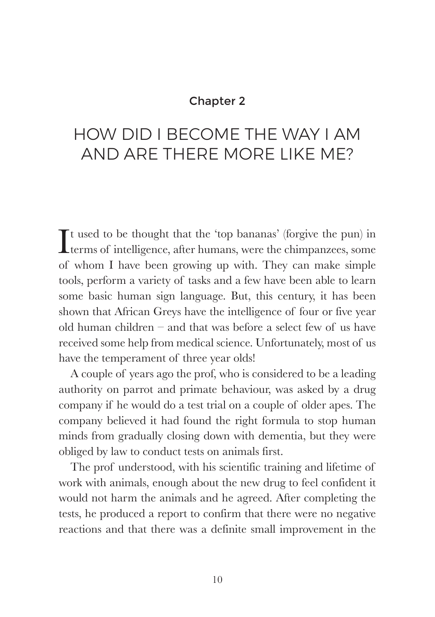## Chapter 2

## HOW DID I BECOME THE WAY I AM AND ARE THERE MORE LIKE ME?

It used to be thought that the 'top bananas' (forgive the pun) in terms of intelligence, after humans, were the chimpanzees, some **Lerms** of intelligence, after humans, were the chimpanzees, some of whom I have been growing up with. They can make simple tools, perform a variety of tasks and a few have been able to learn some basic human sign language. But, this century, it has been shown that African Greys have the intelligence of four or five year old human children – and that was before a select few of us have received some help from medical science. Unfortunately, most of us have the temperament of three year olds!

A couple of years ago the prof, who is considered to be a leading authority on parrot and primate behaviour, was asked by a drug company if he would do a test trial on a couple of older apes. The company believed it had found the right formula to stop human minds from gradually closing down with dementia, but they were obliged by law to conduct tests on animals first.

The prof understood, with his scientific training and lifetime of work with animals, enough about the new drug to feel confident it would not harm the animals and he agreed. After completing the tests, he produced a report to confirm that there were no negative reactions and that there was a definite small improvement in the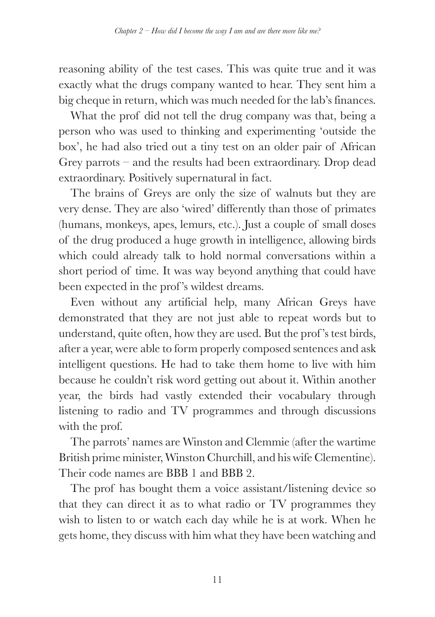reasoning ability of the test cases. This was quite true and it was exactly what the drugs company wanted to hear. They sent him a big cheque in return, which was much needed for the lab's finances.

What the prof did not tell the drug company was that, being a person who was used to thinking and experimenting 'outside the box', he had also tried out a tiny test on an older pair of African Grey parrots – and the results had been extraordinary. Drop dead extraordinary. Positively supernatural in fact.

The brains of Greys are only the size of walnuts but they are very dense. They are also 'wired' differently than those of primates (humans, monkeys, apes, lemurs, etc.). Just a couple of small doses of the drug produced a huge growth in intelligence, allowing birds which could already talk to hold normal conversations within a short period of time. It was way beyond anything that could have been expected in the prof 's wildest dreams.

Even without any artificial help, many African Greys have demonstrated that they are not just able to repeat words but to understand, quite often, how they are used. But the prof 's test birds, after a year, were able to form properly composed sentences and ask intelligent questions. He had to take them home to live with him because he couldn't risk word getting out about it. Within another year, the birds had vastly extended their vocabulary through listening to radio and TV programmes and through discussions with the prof.

The parrots' names are Winston and Clemmie (after the wartime British prime minister, Winston Churchill, and his wife Clementine). Their code names are BBB 1 and BBB 2.

The prof has bought them a voice assistant/listening device so that they can direct it as to what radio or TV programmes they wish to listen to or watch each day while he is at work. When he gets home, they discuss with him what they have been watching and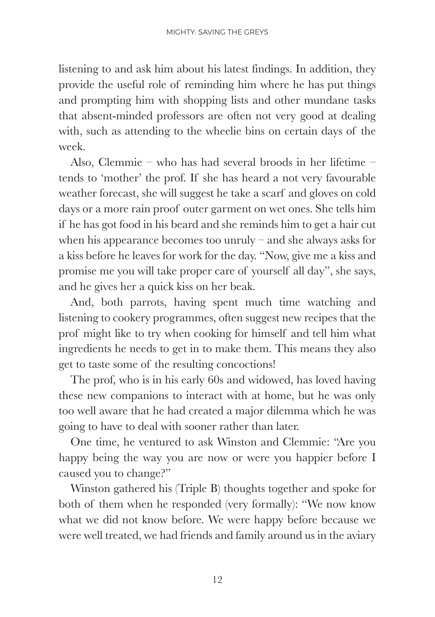listening to and ask him about his latest findings. In addition, they provide the useful role of reminding him where he has put things and prompting him with shopping lists and other mundane tasks that absent-minded professors are often not very good at dealing with, such as attending to the wheelie bins on certain days of the week.

Also, Clemmie – who has had several broods in her lifetime – tends to 'mother' the prof. If she has heard a not very favourable weather forecast, she will suggest he take a scarf and gloves on cold days or a more rain proof outer garment on wet ones. She tells him if he has got food in his beard and she reminds him to get a hair cut when his appearance becomes too unruly – and she always asks for a kiss before he leaves for work for the day. "Now, give me a kiss and promise me you will take proper care of yourself all day", she says, and he gives her a quick kiss on her beak.

And, both parrots, having spent much time watching and listening to cookery programmes, often suggest new recipes that the prof might like to try when cooking for himself and tell him what ingredients he needs to get in to make them. This means they also get to taste some of the resulting concoctions!

The prof, who is in his early 60s and widowed, has loved having these new companions to interact with at home, but he was only too well aware that he had created a major dilemma which he was going to have to deal with sooner rather than later.

One time, he ventured to ask Winston and Clemmie: "Are you happy being the way you are now or were you happier before I caused you to change?"

Winston gathered his (Triple B) thoughts together and spoke for both of them when he responded (very formally): "We now know what we did not know before. We were happy before because we were well treated, we had friends and family around us in the aviary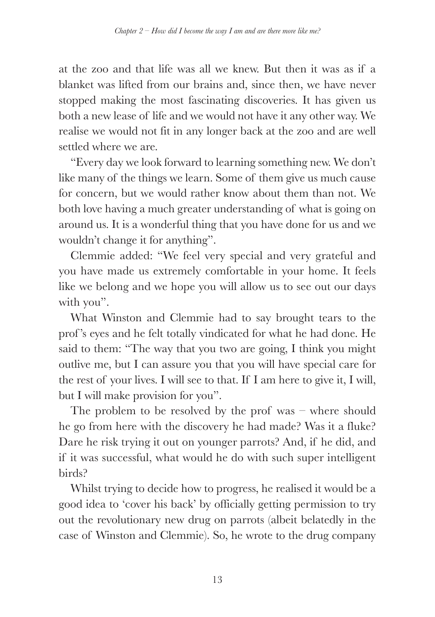at the zoo and that life was all we knew. But then it was as if a blanket was lifted from our brains and, since then, we have never stopped making the most fascinating discoveries. It has given us both a new lease of life and we would not have it any other way. We realise we would not fit in any longer back at the zoo and are well settled where we are.

"Every day we look forward to learning something new. We don't like many of the things we learn. Some of them give us much cause for concern, but we would rather know about them than not. We both love having a much greater understanding of what is going on around us. It is a wonderful thing that you have done for us and we wouldn't change it for anything".

Clemmie added: "We feel very special and very grateful and you have made us extremely comfortable in your home. It feels like we belong and we hope you will allow us to see out our days with you".

What Winston and Clemmie had to say brought tears to the prof 's eyes and he felt totally vindicated for what he had done. He said to them: "The way that you two are going, I think you might outlive me, but I can assure you that you will have special care for the rest of your lives. I will see to that. If I am here to give it, I will, but I will make provision for you".

The problem to be resolved by the prof was – where should he go from here with the discovery he had made? Was it a fluke? Dare he risk trying it out on younger parrots? And, if he did, and if it was successful, what would he do with such super intelligent birds?

Whilst trying to decide how to progress, he realised it would be a good idea to 'cover his back' by officially getting permission to try out the revolutionary new drug on parrots (albeit belatedly in the case of Winston and Clemmie). So, he wrote to the drug company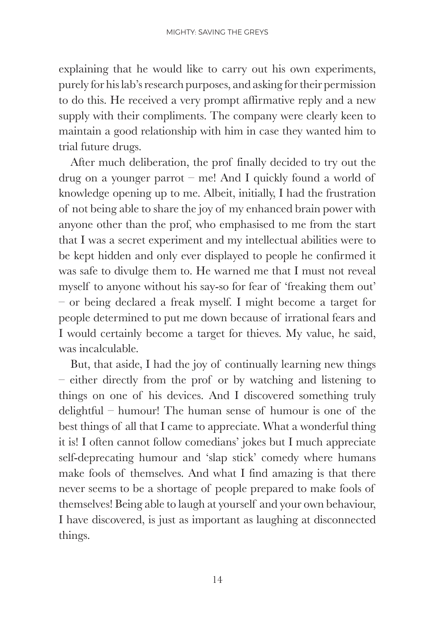explaining that he would like to carry out his own experiments, purely for his lab's research purposes, and asking for their permission to do this. He received a very prompt affirmative reply and a new supply with their compliments. The company were clearly keen to maintain a good relationship with him in case they wanted him to trial future drugs.

After much deliberation, the prof finally decided to try out the drug on a younger parrot – me! And I quickly found a world of knowledge opening up to me. Albeit, initially, I had the frustration of not being able to share the joy of my enhanced brain power with anyone other than the prof, who emphasised to me from the start that I was a secret experiment and my intellectual abilities were to be kept hidden and only ever displayed to people he confirmed it was safe to divulge them to. He warned me that I must not reveal myself to anyone without his say-so for fear of 'freaking them out' – or being declared a freak myself. I might become a target for people determined to put me down because of irrational fears and I would certainly become a target for thieves. My value, he said, was incalculable.

But, that aside, I had the joy of continually learning new things – either directly from the prof or by watching and listening to things on one of his devices. And I discovered something truly delightful – humour! The human sense of humour is one of the best things of all that I came to appreciate. What a wonderful thing it is! I often cannot follow comedians' jokes but I much appreciate self-deprecating humour and 'slap stick' comedy where humans make fools of themselves. And what I find amazing is that there never seems to be a shortage of people prepared to make fools of themselves! Being able to laugh at yourself and your own behaviour, I have discovered, is just as important as laughing at disconnected things.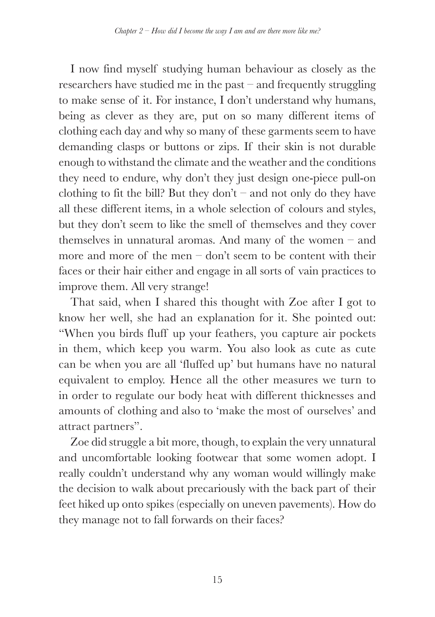I now find myself studying human behaviour as closely as the researchers have studied me in the past – and frequently struggling to make sense of it. For instance, I don't understand why humans, being as clever as they are, put on so many different items of clothing each day and why so many of these garments seem to have demanding clasps or buttons or zips. If their skin is not durable enough to withstand the climate and the weather and the conditions they need to endure, why don't they just design one-piece pull-on clothing to fit the bill? But they don't – and not only do they have all these different items, in a whole selection of colours and styles, but they don't seem to like the smell of themselves and they cover themselves in unnatural aromas. And many of the women – and more and more of the men – don't seem to be content with their faces or their hair either and engage in all sorts of vain practices to improve them. All very strange!

That said, when I shared this thought with Zoe after I got to know her well, she had an explanation for it. She pointed out: "When you birds fluff up your feathers, you capture air pockets in them, which keep you warm. You also look as cute as cute can be when you are all 'fluffed up' but humans have no natural equivalent to employ. Hence all the other measures we turn to in order to regulate our body heat with different thicknesses and amounts of clothing and also to 'make the most of ourselves' and attract partners".

Zoe did struggle a bit more, though, to explain the very unnatural and uncomfortable looking footwear that some women adopt. I really couldn't understand why any woman would willingly make the decision to walk about precariously with the back part of their feet hiked up onto spikes (especially on uneven pavements). How do they manage not to fall forwards on their faces?